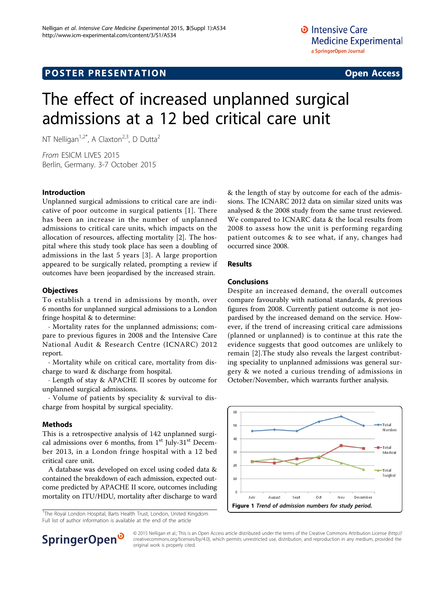# **POSTER PRESENTATION CONSUMING THE SERVICE SERVICE SERVICES**

# The effect of increased unplanned surgical admissions at a 12 bed critical care unit

NT Nelligan<sup>1,2\*</sup>, A Claxton<sup>2,3</sup>, D Dutta<sup>2</sup>

From ESICM LIVES 2015 Berlin, Germany. 3-7 October 2015

#### Introduction

Unplanned surgical admissions to critical care are indicative of poor outcome in surgical patients [[1](#page-1-0)]. There has been an increase in the number of unplanned admissions to critical care units, which impacts on the allocation of resources, affecting mortality [\[2\]](#page-1-0). The hospital where this study took place has seen a doubling of admissions in the last 5 years [[3\]](#page-1-0). A large proportion appeared to be surgically related, prompting a review if outcomes have been jeopardised by the increased strain.

#### **Objectives**

To establish a trend in admissions by month, over 6 months for unplanned surgical admissions to a London fringe hospital & to determine:

· Mortality rates for the unplanned admissions; compare to previous figures in 2008 and the Intensive Care National Audit & Research Centre (ICNARC) 2012 report.

· Mortality while on critical care, mortality from discharge to ward & discharge from hospital.

· Length of stay & APACHE II scores by outcome for unplanned surgical admissions.

· Volume of patients by speciality & survival to discharge from hospital by surgical speciality.

#### Methods

This is a retrospective analysis of 142 unplanned surgical admissions over 6 months, from  $1<sup>st</sup>$  July-31 $<sup>st</sup>$  Decem-</sup> ber 2013, in a London fringe hospital with a 12 bed critical care unit.

A database was developed on excel using coded data & contained the breakdown of each admission, expected outcome predicted by APACHE II score, outcomes including mortality on ITU/HDU, mortality after discharge to ward

<sup>1</sup>The Royal London Hospital, Barts Health Trust, London, United Kingdom Full list of author information is available at the end of the article

& the length of stay by outcome for each of the admissions. The ICNARC 2012 data on similar sized units was analysed & the 2008 study from the same trust reviewed. We compared to ICNARC data & the local results from 2008 to assess how the unit is performing regarding patient outcomes & to see what, if any, changes had occurred since 2008.

### Results

#### Conclusions

Despite an increased demand, the overall outcomes compare favourably with national standards, & previous figures from 2008. Currently patient outcome is not jeopardised by the increased demand on the service. However, if the trend of increasing critical care admissions (planned or unplanned) is to continue at this rate the evidence suggests that good outcomes are unlikely to remain [[2\]](#page-1-0).The study also reveals the largest contributing speciality to unplanned admissions was general surgery & we noted a curious trending of admissions in October/November, which warrants further analysis.





© 2015 Nelligan et al.; This is an Open Access article distributed under the terms of the Creative Commons Attribution License [\(http://](http://creativecommons.org/licenses/by/4.0) [creativecommons.org/licenses/by/4.0](http://creativecommons.org/licenses/by/4.0)), which permits unrestricted use, distribution, and reproduction in any medium, provided the original work is properly cited.